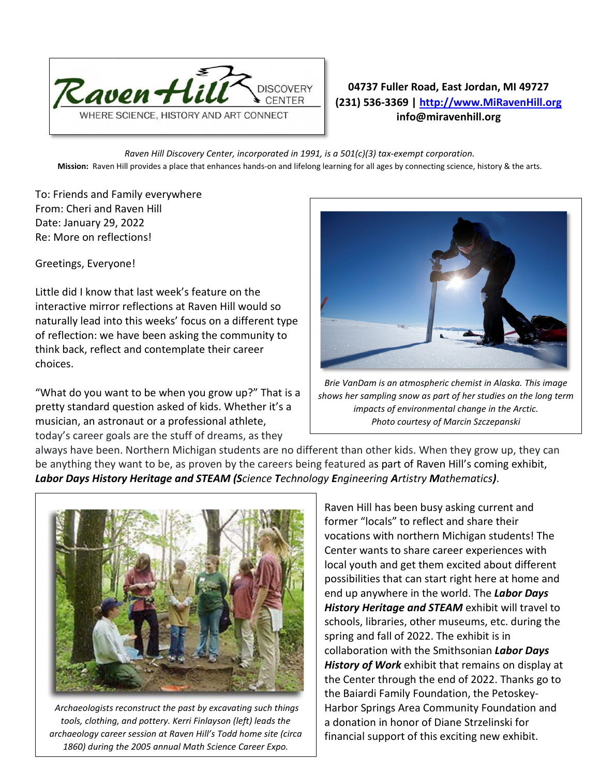

## **04737 Fuller Road, East Jordan, MI 49727 (231) 536-3369 | [http://www.MiRavenHill.org](http://www.miravenhill.org/) info@miravenhill.org**

*Raven Hill Discovery Center, incorporated in 1991, is a 501(c)(3) tax-exempt corporation.* **Mission:** Raven Hill provides a place that enhances hands-on and lifelong learning for all ages by connecting science, history & the arts.

To: Friends and Family everywhere From: Cheri and Raven Hill Date: January 29, 2022 Re: More on reflections!

Greetings, Everyone!

Little did I know that last week's feature on the interactive mirror reflections at Raven Hill would so naturally lead into this weeks' focus on a different type of reflection: we have been asking the community to think back, reflect and contemplate their career choices.

"What do you want to be when you grow up?" That is a pretty standard question asked of kids. Whether it's a musician, an astronaut or a professional athlete, today's career goals are the stuff of dreams, as they



*Brie VanDam is an atmospheric chemist in Alaska. This image shows her sampling snow as part of her studies on the long term impacts of environmental change in the Arctic. Photo courtesy of Marcin Szczepanski*

always have been. Northern Michigan students are no different than other kids. When they grow up, they can be anything they want to be, as proven by the careers being featured as part of Raven Hill's coming exhibit, *Labor Days History Heritage and STEAM (Science Technology Engineering Artistry Mathematics)*.



*Archaeologists reconstruct the past by excavating such things tools, clothing, and pottery. Kerri Finlayson (left) leads the archaeology career session at Raven Hill's Todd home site (circa 1860) during the 2005 annual Math Science Career Expo.*

Raven Hill has been busy asking current and former "locals" to reflect and share their vocations with northern Michigan students! The Center wants to share career experiences with local youth and get them excited about different possibilities that can start right here at home and end up anywhere in the world. The *Labor Days History Heritage and STEAM* exhibit will travel to schools, libraries, other museums, etc. during the spring and fall of 2022. The exhibit is in collaboration with the Smithsonian *Labor Days History of Work* exhibit that remains on display at the Center through the end of 2022. Thanks go to the Baiardi Family Foundation, the Petoskey-Harbor Springs Area Community Foundation and a donation in honor of Diane Strzelinski for financial support of this exciting new exhibit.